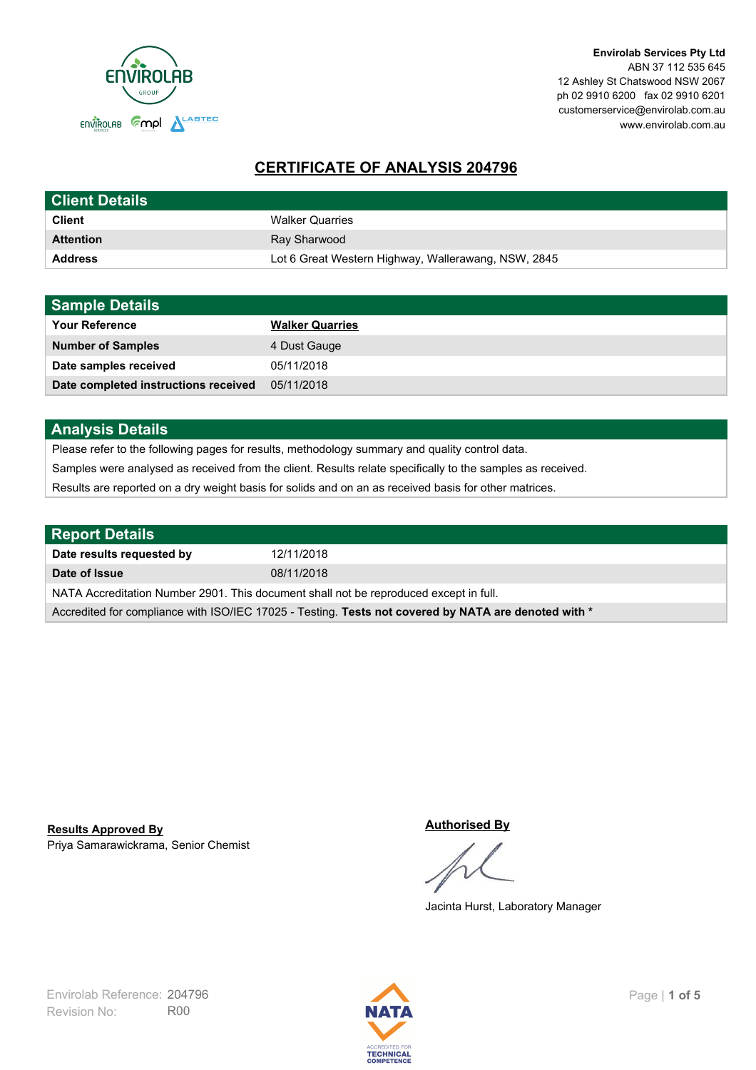

# **CERTIFICATE OF ANALYSIS 204796**

| <b>Client Details</b> |                                                     |
|-----------------------|-----------------------------------------------------|
| <b>Client</b>         | <b>Walker Quarries</b>                              |
| <b>Attention</b>      | Ray Sharwood                                        |
| <b>Address</b>        | Lot 6 Great Western Highway, Wallerawang, NSW, 2845 |

| <b>Sample Details</b>                |                        |
|--------------------------------------|------------------------|
| <b>Your Reference</b>                | <b>Walker Quarries</b> |
| <b>Number of Samples</b>             | 4 Dust Gauge           |
| Date samples received                | 05/11/2018             |
| Date completed instructions received | 05/11/2018             |

## **Analysis Details**

Please refer to the following pages for results, methodology summary and quality control data.

Samples were analysed as received from the client. Results relate specifically to the samples as received.

Results are reported on a dry weight basis for solids and on an as received basis for other matrices.

| <b>Report Details</b>                                                                                |            |  |
|------------------------------------------------------------------------------------------------------|------------|--|
| Date results requested by                                                                            | 12/11/2018 |  |
| Date of Issue                                                                                        | 08/11/2018 |  |
| NATA Accreditation Number 2901. This document shall not be reproduced except in full.                |            |  |
| Accredited for compliance with ISO/IEC 17025 - Testing. Tests not covered by NATA are denoted with * |            |  |

Priya Samarawickrama, Senior Chemist **Results Approved By**

#### **Authorised By**

Jacinta Hurst, Laboratory Manager

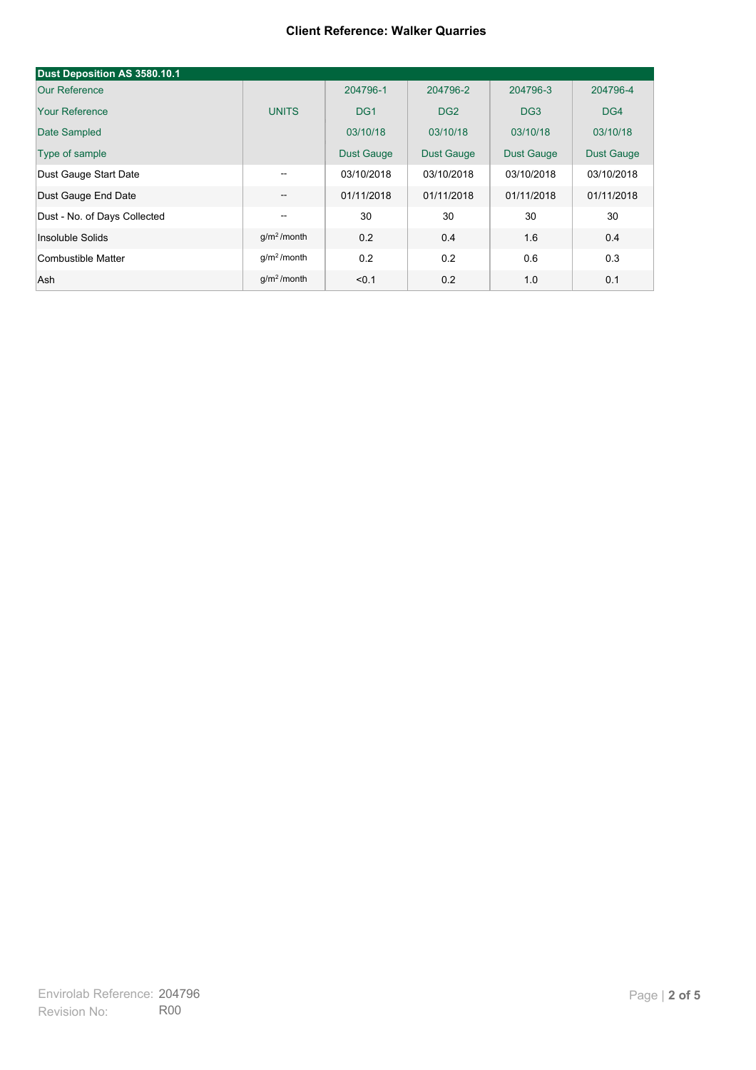#### **Client Reference: Walker Quarries**

| Dust Deposition AS 3580.10.1 |                         |                   |                   |                   |                   |
|------------------------------|-------------------------|-------------------|-------------------|-------------------|-------------------|
| <b>Our Reference</b>         |                         | 204796-1          | 204796-2          | 204796-3          | 204796-4          |
| <b>Your Reference</b>        | <b>UNITS</b>            | DG <sub>1</sub>   | DG <sub>2</sub>   | DG <sub>3</sub>   | DG4               |
| Date Sampled                 |                         | 03/10/18          | 03/10/18          | 03/10/18          | 03/10/18          |
| Type of sample               |                         | <b>Dust Gauge</b> | <b>Dust Gauge</b> | <b>Dust Gauge</b> | <b>Dust Gauge</b> |
| Dust Gauge Start Date        | $- -$                   | 03/10/2018        | 03/10/2018        | 03/10/2018        | 03/10/2018        |
| Dust Gauge End Date          | $\qquad \qquad -$       | 01/11/2018        | 01/11/2018        | 01/11/2018        | 01/11/2018        |
| Dust - No. of Days Collected | --                      | 30                | 30                | 30                | 30                |
| Insoluble Solids             | g/m <sup>2</sup> /month | 0.2               | 0.4               | 1.6               | 0.4               |
| Combustible Matter           | $q/m2$ /month           | 0.2               | 0.2               | 0.6               | 0.3               |
| Ash                          | g/m <sup>2</sup> /month | < 0.1             | 0.2               | 1.0               | 0.1               |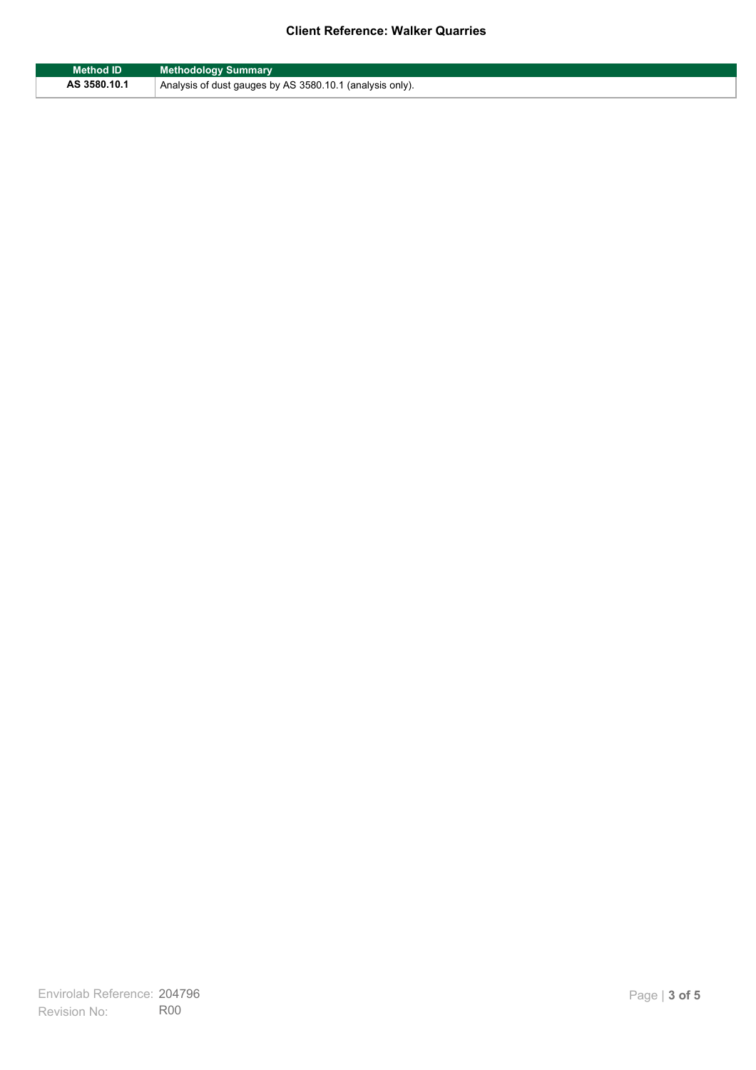### **Client Reference: Walker Quarries**

| <b>Method ID</b> | <b>Methodology Summary</b>                               |
|------------------|----------------------------------------------------------|
| AS 3580.10.1     | Analysis of dust gauges by AS 3580.10.1 (analysis only). |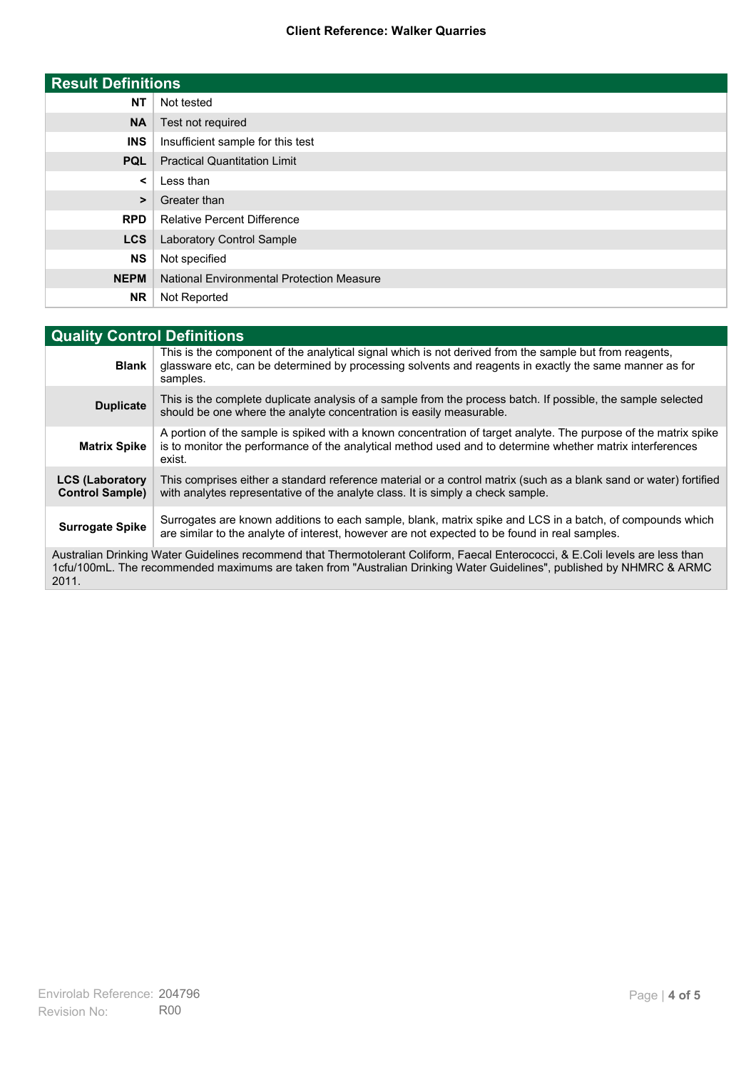### **Client Reference: Walker Quarries**

| <b>Result Definitions</b> |                                                  |
|---------------------------|--------------------------------------------------|
| <b>NT</b>                 | Not tested                                       |
| <b>NA</b>                 | Test not required                                |
| <b>INS</b>                | Insufficient sample for this test                |
| <b>PQL</b>                | <b>Practical Quantitation Limit</b>              |
| $\prec$                   | Less than                                        |
| >                         | Greater than                                     |
| <b>RPD</b>                | <b>Relative Percent Difference</b>               |
| <b>LCS</b>                | Laboratory Control Sample                        |
| <b>NS</b>                 | Not specified                                    |
| <b>NEPM</b>               | <b>National Environmental Protection Measure</b> |
| <b>NR</b>                 | Not Reported                                     |

| <b>Quality Control Definitions</b>                                                                                                                                                                                                                      |                                                                                                                                                                                                                                        |  |
|---------------------------------------------------------------------------------------------------------------------------------------------------------------------------------------------------------------------------------------------------------|----------------------------------------------------------------------------------------------------------------------------------------------------------------------------------------------------------------------------------------|--|
| <b>Blank</b>                                                                                                                                                                                                                                            | This is the component of the analytical signal which is not derived from the sample but from reagents.<br>glassware etc, can be determined by processing solvents and reagents in exactly the same manner as for<br>samples.           |  |
| <b>Duplicate</b>                                                                                                                                                                                                                                        | This is the complete duplicate analysis of a sample from the process batch. If possible, the sample selected<br>should be one where the analyte concentration is easily measurable.                                                    |  |
| <b>Matrix Spike</b>                                                                                                                                                                                                                                     | A portion of the sample is spiked with a known concentration of target analyte. The purpose of the matrix spike<br>is to monitor the performance of the analytical method used and to determine whether matrix interferences<br>exist. |  |
| <b>LCS (Laboratory</b><br><b>Control Sample)</b>                                                                                                                                                                                                        | This comprises either a standard reference material or a control matrix (such as a blank sand or water) fortified<br>with analytes representative of the analyte class. It is simply a check sample.                                   |  |
| <b>Surrogate Spike</b>                                                                                                                                                                                                                                  | Surrogates are known additions to each sample, blank, matrix spike and LCS in a batch, of compounds which<br>are similar to the analyte of interest, however are not expected to be found in real samples.                             |  |
| Australian Drinking Water Guidelines recommend that Thermotolerant Coliform, Faecal Enterococci, & E.Coli levels are less than<br>1cfu/100mL. The recommended maximums are taken from "Australian Drinking Water Guidelines", published by NHMRC & ARMC |                                                                                                                                                                                                                                        |  |

2011.